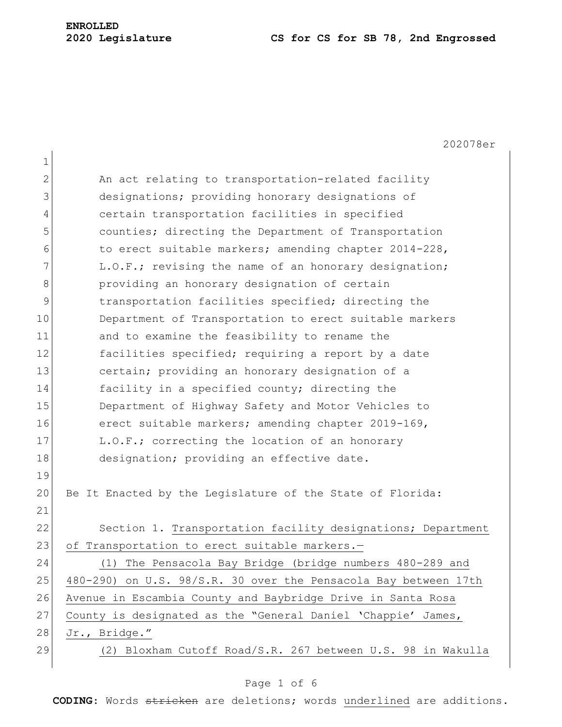# **ENROLLED**

## **Legislature CS for CS for SB 78, 2nd Engrossed**

|                | 202078er                                                        |
|----------------|-----------------------------------------------------------------|
| $\mathbf{1}$   |                                                                 |
| $\mathbf{2}$   | An act relating to transportation-related facility              |
| 3              | designations; providing honorary designations of                |
| $\overline{4}$ | certain transportation facilities in specified                  |
| 5              | counties; directing the Department of Transportation            |
| 6              | to erect suitable markers; amending chapter 2014-228,           |
| 7              | L.O.F.; revising the name of an honorary designation;           |
| 8              | providing an honorary designation of certain                    |
| 9              | transportation facilities specified; directing the              |
| 10             | Department of Transportation to erect suitable markers          |
| 11             | and to examine the feasibility to rename the                    |
| 12             | facilities specified; requiring a report by a date              |
| 13             | certain; providing an honorary designation of a                 |
| 14             | facility in a specified county; directing the                   |
| 15             | Department of Highway Safety and Motor Vehicles to              |
| 16             | erect suitable markers; amending chapter 2019-169,              |
| 17             | L.O.F.; correcting the location of an honorary                  |
| 18             | designation; providing an effective date.                       |
| 19             |                                                                 |
| 20             | Be It Enacted by the Legislature of the State of Florida:       |
| 21             |                                                                 |
| 22             | Section 1. Transportation facility designations; Department     |
| 23             | of Transportation to erect suitable markers.-                   |
| 24             | (1) The Pensacola Bay Bridge (bridge numbers 480-289 and        |
| 25             | 480-290) on U.S. 98/S.R. 30 over the Pensacola Bay between 17th |
| 26             | Avenue in Escambia County and Baybridge Drive in Santa Rosa     |
| 27             | County is designated as the "General Daniel 'Chappie' James,    |
| 28             | Jr., Bridge."                                                   |
| 29             | (2) Bloxham Cutoff Road/S.R. 267 between U.S. 98 in Wakulla     |
|                |                                                                 |

### Page 1 of 6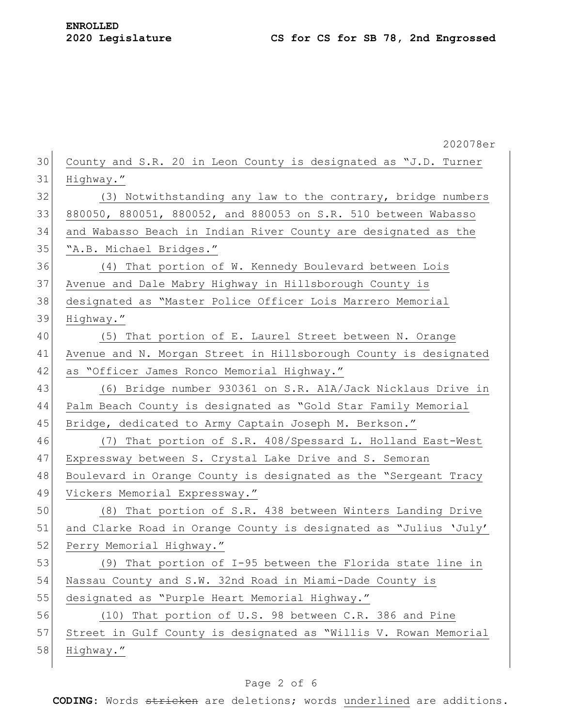|    | 202078er                                                         |
|----|------------------------------------------------------------------|
| 30 | County and S.R. 20 in Leon County is designated as "J.D. Turner  |
| 31 | Highway."                                                        |
| 32 | (3) Notwithstanding any law to the contrary, bridge numbers      |
| 33 | 880050, 880051, 880052, and 880053 on S.R. 510 between Wabasso   |
| 34 | and Wabasso Beach in Indian River County are designated as the   |
| 35 | "A.B. Michael Bridges."                                          |
| 36 | (4) That portion of W. Kennedy Boulevard between Lois            |
| 37 | Avenue and Dale Mabry Highway in Hillsborough County is          |
| 38 | designated as "Master Police Officer Lois Marrero Memorial       |
| 39 | Highway."                                                        |
| 40 | (5) That portion of E. Laurel Street between N. Orange           |
| 41 | Avenue and N. Morgan Street in Hillsborough County is designated |
| 42 | as "Officer James Ronco Memorial Highway."                       |
| 43 | (6) Bridge number 930361 on S.R. A1A/Jack Nicklaus Drive in      |
| 44 | Palm Beach County is designated as "Gold Star Family Memorial    |
| 45 | Bridge, dedicated to Army Captain Joseph M. Berkson."            |
| 46 | (7) That portion of S.R. 408/Spessard L. Holland East-West       |
| 47 | Expressway between S. Crystal Lake Drive and S. Semoran          |
| 48 | Boulevard in Orange County is designated as the "Sergeant Tracy  |
| 49 | Vickers Memorial Expressway."                                    |
| 50 | (8) That portion of S.R. 438 between Winters Landing Drive       |
| 51 | and Clarke Road in Orange County is designated as "Julius 'July' |
| 52 | Perry Memorial Highway."                                         |
| 53 | (9) That portion of I-95 between the Florida state line in       |
| 54 | Nassau County and S.W. 32nd Road in Miami-Dade County is         |
| 55 | designated as "Purple Heart Memorial Highway."                   |
| 56 | (10) That portion of U.S. 98 between C.R. 386 and Pine           |
| 57 | Street in Gulf County is designated as "Willis V. Rowan Memorial |
| 58 | Highway."                                                        |
|    |                                                                  |

### Page 2 of 6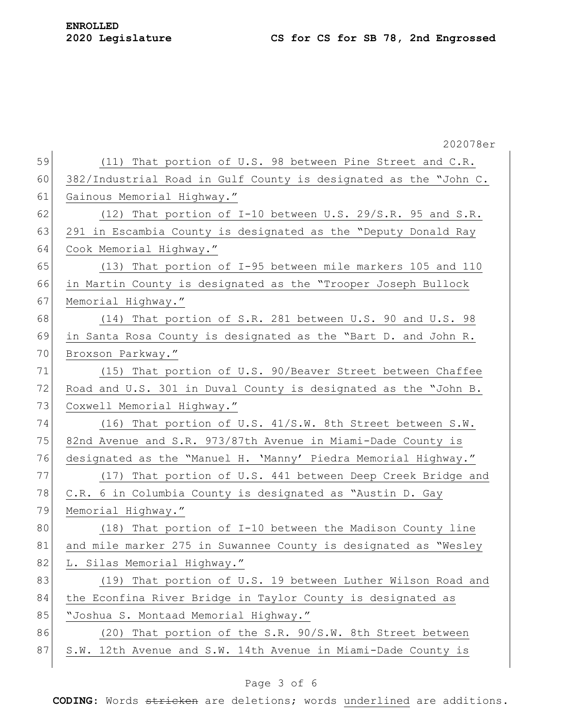|    | 202078er                                                         |
|----|------------------------------------------------------------------|
| 59 | (11) That portion of U.S. 98 between Pine Street and C.R.        |
| 60 | 382/Industrial Road in Gulf County is designated as the "John C. |
| 61 | Gainous Memorial Highway."                                       |
| 62 | $(12)$ That portion of I-10 between U.S. 29/S.R. 95 and S.R.     |
| 63 | 291 in Escambia County is designated as the "Deputy Donald Ray   |
| 64 | Cook Memorial Highway."                                          |
| 65 | (13) That portion of I-95 between mile markers 105 and 110       |
| 66 | in Martin County is designated as the "Trooper Joseph Bullock    |
| 67 | Memorial Highway."                                               |
| 68 | (14) That portion of S.R. 281 between U.S. 90 and U.S. 98        |
| 69 | in Santa Rosa County is designated as the "Bart D. and John R.   |
| 70 | Broxson Parkway."                                                |
| 71 | (15) That portion of U.S. 90/Beaver Street between Chaffee       |
| 72 | Road and U.S. 301 in Duval County is designated as the "John B.  |
| 73 | Coxwell Memorial Highway."                                       |
| 74 | (16) That portion of U.S. 41/S.W. 8th Street between S.W.        |
| 75 | 82nd Avenue and S.R. 973/87th Avenue in Miami-Dade County is     |
| 76 | designated as the "Manuel H. 'Manny' Piedra Memorial Highway."   |
| 77 | (17) That portion of U.S. 441 between Deep Creek Bridge and      |
| 78 | C.R. 6 in Columbia County is designated as "Austin D. Gay        |
| 79 | Memorial Highway."                                               |
| 80 | (18) That portion of I-10 between the Madison County line        |
| 81 | and mile marker 275 in Suwannee County is designated as "Wesley  |
| 82 | L. Silas Memorial Highway."                                      |
| 83 | (19) That portion of U.S. 19 between Luther Wilson Road and      |
| 84 | the Econfina River Bridge in Taylor County is designated as      |
| 85 | "Joshua S. Montaad Memorial Highway."                            |
| 86 | (20) That portion of the S.R. 90/S.W. 8th Street between         |
| 87 | S.W. 12th Avenue and S.W. 14th Avenue in Miami-Dade County is    |
|    |                                                                  |

### Page 3 of 6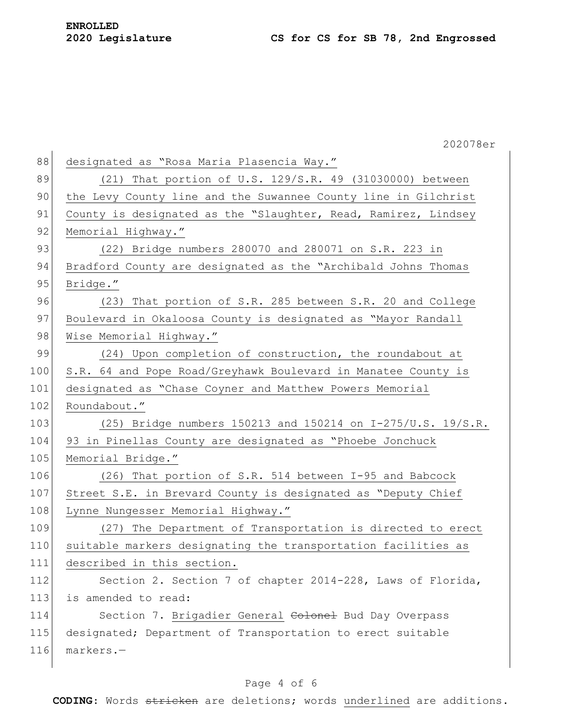|     | 202078er                                                       |
|-----|----------------------------------------------------------------|
| 88  | designated as "Rosa Maria Plasencia Way."                      |
| 89  | (21) That portion of U.S. 129/S.R. 49 (31030000) between       |
| 90  | the Levy County line and the Suwannee County line in Gilchrist |
| 91  | County is designated as the "Slaughter, Read, Ramirez, Lindsey |
| 92  | Memorial Highway."                                             |
| 93  | $(22)$ Bridge numbers 280070 and 280071 on S.R. 223 in         |
| 94  | Bradford County are designated as the "Archibald Johns Thomas  |
| 95  | Bridge."                                                       |
| 96  | (23) That portion of S.R. 285 between S.R. 20 and College      |
| 97  | Boulevard in Okaloosa County is designated as "Mayor Randall   |
| 98  | Wise Memorial Highway."                                        |
| 99  | (24) Upon completion of construction, the roundabout at        |
| 100 | S.R. 64 and Pope Road/Greyhawk Boulevard in Manatee County is  |
| 101 | designated as "Chase Coyner and Matthew Powers Memorial        |
| 102 | Roundabout."                                                   |
| 103 | (25) Bridge numbers 150213 and 150214 on I-275/U.S. 19/S.R.    |
| 104 | 93 in Pinellas County are designated as "Phoebe Jonchuck       |
| 105 | Memorial Bridge."                                              |
| 106 | (26) That portion of S.R. 514 between I-95 and Babcock         |
| 107 | Street S.E. in Brevard County is designated as "Deputy Chief   |
| 108 | Lynne Nungesser Memorial Highway."                             |
| 109 | (27) The Department of Transportation is directed to erect     |
| 110 | suitable markers designating the transportation facilities as  |
| 111 | described in this section.                                     |
| 112 | Section 2. Section 7 of chapter 2014-228, Laws of Florida,     |
| 113 | is amended to read:                                            |
| 114 | Section 7. Brigadier General Colonel Bud Day Overpass          |
| 115 | designated; Department of Transportation to erect suitable     |
| 116 | $markers.$ -                                                   |
|     |                                                                |

### Page 4 of 6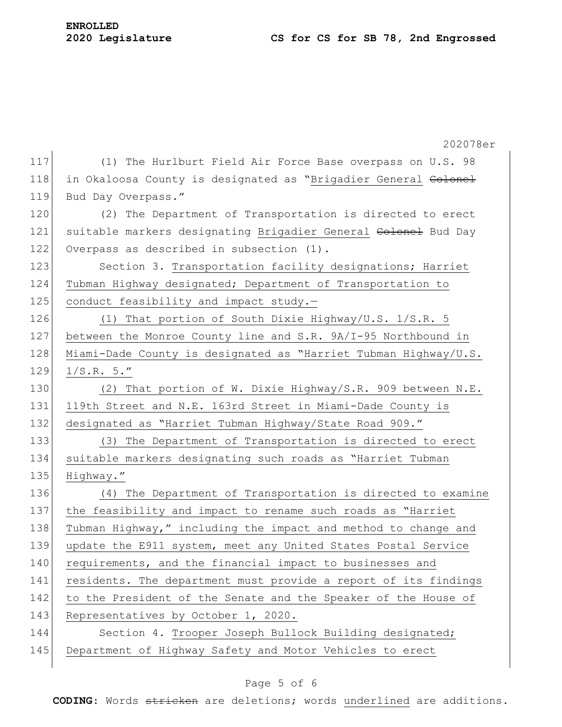|     | 202078er                                                        |
|-----|-----------------------------------------------------------------|
| 117 | (1) The Hurlburt Field Air Force Base overpass on U.S. 98       |
| 118 | in Okaloosa County is designated as "Brigadier General Colonel  |
| 119 | Bud Day Overpass."                                              |
| 120 | (2) The Department of Transportation is directed to erect       |
| 121 | suitable markers designating Brigadier General Colonel Bud Day  |
| 122 | Overpass as described in subsection (1).                        |
| 123 | Section 3. Transportation facility designations; Harriet        |
| 124 | Tubman Highway designated; Department of Transportation to      |
| 125 | conduct feasibility and impact study.-                          |
| 126 | (1) That portion of South Dixie Highway/U.S. 1/S.R. 5           |
| 127 | between the Monroe County line and S.R. 9A/I-95 Northbound in   |
| 128 | Miami-Dade County is designated as "Harriet Tubman Highway/U.S. |
| 129 | 1/S.R. 5."                                                      |
| 130 | (2) That portion of W. Dixie Highway/S.R. 909 between N.E.      |
| 131 | 119th Street and N.E. 163rd Street in Miami-Dade County is      |
| 132 | designated as "Harriet Tubman Highway/State Road 909."          |
| 133 | (3) The Department of Transportation is directed to erect       |
| 134 | suitable markers designating such roads as "Harriet Tubman      |
| 135 | Highway."                                                       |
| 136 | (4) The Department of Transportation is directed to examine     |
| 137 | the feasibility and impact to rename such roads as "Harriet     |
| 138 | Tubman Highway," including the impact and method to change and  |
| 139 | update the E911 system, meet any United States Postal Service   |
| 140 | requirements, and the financial impact to businesses and        |
| 141 | residents. The department must provide a report of its findings |
| 142 | to the President of the Senate and the Speaker of the House of  |
| 143 | Representatives by October 1, 2020.                             |
| 144 | Section 4. Trooper Joseph Bullock Building designated;          |
| 145 | Department of Highway Safety and Motor Vehicles to erect        |
|     |                                                                 |

### Page 5 of 6